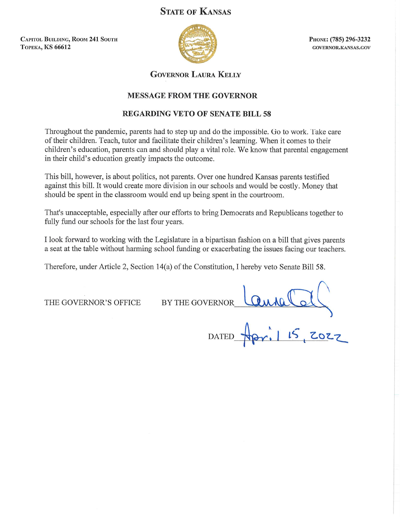# **STATE OF KANSAS**

**CAPITOL BUILDING, ROOM 241 SOUTH ТОРЕКА, KS 66612** 



PHONE: (785) 296-3232 GOVERNOR.KANSAS.GOV

**GOVERNOR LAURA KELLY** 

## **MESSAGE FROM THE GOVERNOR**

## **REGARDING VETO OF SENATE BILL 58**

Throughout the pandemic, parents had to step up and do the impossible. Go to work. Take care of their children. Teach, tutor and facilitate their children's learning. When it comes to their children's education, parents can and should play a vital role. We know that parental engagement in their child's education greatly impacts the outcome.

This bill, however, is about politics, not parents. Over one hundred Kansas parents testified against this bill. It would create more division in our schools and would be costly. Money that should be spent in the classroom would end up being spent in the courtroom.

That's unacceptable, especially after our efforts to bring Democrats and Republicans together to fully fund our schools for the last four years.

I look forward to working with the Legislature in a bipartisan fashion on a bill that gives parents a seat at the table without harming school funding or exacerbating the issues facing our teachers.

Therefore, under Article 2, Section 14(a) of the Constitution, I hereby veto Senate Bill 58.

THE GOVERNOR'S OFFICE

BY THE GOVERNOR

Lannelley **DATED**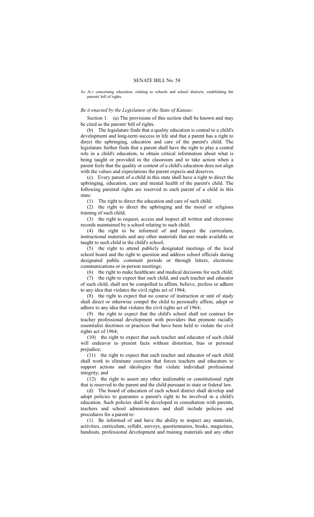#### SENATE BILL No. 58

AN ACT concerning education; relating to schools and school districts; establishing the parents' bill of rights.

#### *Be it enacted by the Legislature of the State of Kansas:*

Section 1. (a) The provisions of this section shall be known and may be cited as the parents' bill of rights.

(b) The legislature finds that a quality education is central to a child's development and long-term success in life and that a parent has a right to direct the upbringing, education and care of the parent's child. The legislature further finds that a parent shall have the right to play a central role in a child's education, to obtain critical information about what is being taught or provided in the classroom and to take action when a parent feels that the quality or content of a child's education does not align with the values and expectations the parent expects and deserves.

(c) Every parent of a child in this state shall have a right to direct the upbringing, education, care and mental health of the parent's child. The following parental rights are reserved to each parent of a child in this state:

(1) The right to direct the education and care of such child;

(2) the right to direct the upbringing and the moral or religious training of such child;

(3) the right to request, access and inspect all written and electronic records maintained by a school relating to such child;

(4) the right to be informed of and inspect the curriculum, instructional materials and any other materials that are made available or taught to such child in the child's school;

(5) the right to attend publicly designated meetings of the local school board and the right to question and address school officials during designated public comment periods or through letters, electronic communications or in-person meetings;

(6) the right to make healthcare and medical decisions for such child;

(7) the right to expect that such child, and each teacher and educator of such child, shall not be compelled to affirm, believe, profess or adhere to any idea that violates the civil rights act of 1964;

(8) the right to expect that no course of instruction or unit of study shall direct or otherwise compel the child to personally affirm, adopt or adhere to any idea that violates the civil rights act of 1964;

(9) the right to expect that the child's school shall not contract for teacher professional development with providers that promote racially essentialist doctrines or practices that have been held to violate the civil rights act of 1964;

(10) the right to expect that each teacher and educator of such child will endeavor to present facts without distortion, bias or personal prejudice;

(11) the right to expect that each teacher and educator of such child shall work to eliminate coercion that forces teachers and educators to support actions and ideologies that violate individual professional integrity; and

(12) the right to assert any other inalienable or constitutional right that is reserved to the parent and the child pursuant to state or federal law.

(d) The board of education of each school district shall develop and adopt policies to guarantee a parent's right to be involved in a child's education. Such policies shall be developed in consultation with parents, teachers and school administrators and shall include policies and procedures for a parent to:

(1) Be informed of and have the ability to inspect any materials, activities, curriculum, syllabi, surveys, questionnaires, books, magazines, handouts, professional development and training materials and any other